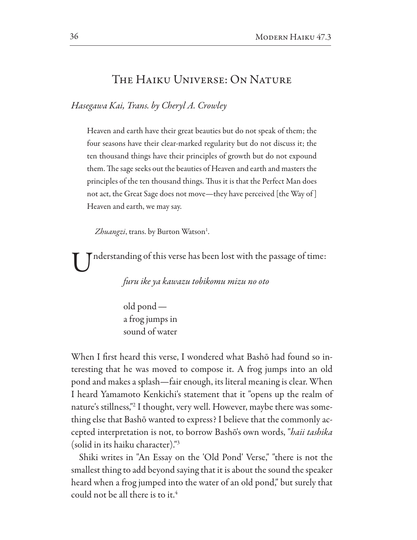## THE HAIKU UNIVERSE: ON NATURE

Hasegawa Kai, Trans. by Cheryl A. Crowley

Heaven and earth have their great beauties but do not speak of them; the four seasons have their clear-marked regularity but do not discuss it; the ten thousand things have their principles of growth but do not expound them. The sage seeks out the beauties of Heaven and earth and masters the principles of the ten thousand things. Thus it is that the Perfect Man does not act, the Great Sage does not move—they have perceived [the Way of] Heaven and earth, we may say.

Zhuangzi, trans. by Burton Watson<sup>1</sup>.

nderstanding of this verse has been lost with the passage of time:

furu ike ya kawazu tobikomu mizu no oto

 $old$  pond  $$ a frog jumps in sound of water

When I first heard this verse, I wondered what Bashō had found so interesting that he was moved to compose it. A frog jumps into an old pond and makes a splash—fair enough, its literal meaning is clear. When I heard Yamamoto Kenkichi's statement that it "opens up the realm of nature's stillness,"<sup>2</sup> I thought, very well. However, maybe there was something else that Bashō wanted to express? I believe that the commonly accepted interpretation is not, to borrow Bashō's own words, "*haii tashika* (solid in its haiku character)."3

Shiki writes in "An Essay on the 'Old Pond' Verse," "there is not the smallest thing to add beyond saying that it is about the sound the speaker heard when a frog jumped into the water of an old pond," but surely that could not be all there is to it.<sup>4</sup>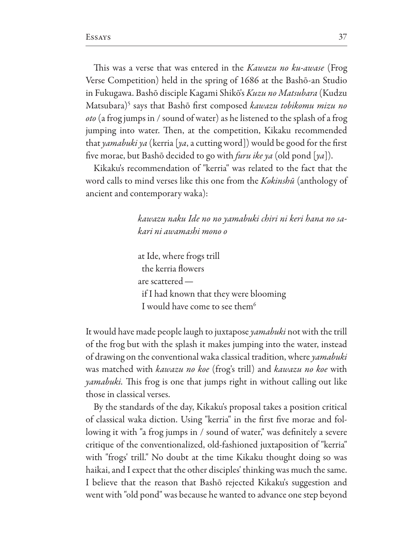This was a verse that was entered in the *Kawazu no ku-awase* (Frog Verse Competition) held in the spring of 1686 at the Bashō-an Studio in Fukugawa. Bashō disciple Kagami Shikō's Kuzu no Matsubara (Kudzu Matsubara)<sup>5</sup> says that Bashō first composed kawazu tobikomu mizu no oto (a frog jumps in / sound of water) as he listened to the splash of a frog jumping into water. Then, at the competition, Kikaku recommended that yamabuki ya (kerria [ya, a cutting word]) would be good for the first five morae, but Bashō decided to go with *furu ike ya* (old pond [ya]).

Kikaku's recommendation of "kerria" was related to the fact that the word calls to mind verses like this one from the Kokinshū (anthology of ancient and contemporary waka):

> kawazu naku Ide no no yamabuki chiri ni keri hana no sakari ni awamashi mono o

at Ide, where frogs trill the kerria flowers are scattered if I had known that they were blooming I would have come to see them<sup>6</sup>

It would have made people laugh to juxtapose yamabuki not with the trill of the frog but with the splash it makes jumping into the water, instead of drawing on the conventional waka classical tradition, where yamabuki was matched with kawazu no koe (frog's trill) and kawazu no koe with *yamabuki*. This frog is one that jumps right in without calling out like those in classical verses.

By the standards of the day, Kikaku's proposal takes a position critical of classical waka diction. Using "kerria" in the first five morae and following it with "a frog jumps in / sound of water," was definitely a severe critique of the conventionalized, old-fashioned juxtaposition of "kerria" with "frogs' trill." No doubt at the time Kikaku thought doing so was haikai, and I expect that the other disciples' thinking was much the same. I believe that the reason that Bashō rejected Kikaku's suggestion and went with "old pond" was because he wanted to advance one step beyond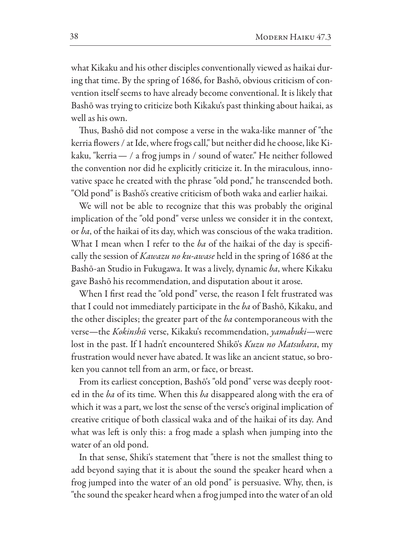what Kikaku and his other disciples conventionally viewed as haikai during that time. By the spring of 1686, for Bashō, obvious criticism of convention itself seems to have already become conventional. It is likely that Bashō was trying to criticize both Kikaku's past thinking about haikai, as well as his own.

Thus, Bashō did not compose a verse in the waka-like manner of "the kerria flowers / at Ide, where frogs call," but neither did he choose, like Kikaku, "kerria - / a frog jumps in / sound of water." He neither followed the convention nor did he explicitly criticize it. In the miraculous, innovative space he created with the phrase "old pond," he transcended both. "Old pond" is Bashō's creative criticism of both waka and earlier haikai.

We will not be able to recognize that this was probably the original implication of the "old pond" verse unless we consider it in the context, or ba, of the haikai of its day, which was conscious of the waka tradition. What I mean when I refer to the ba of the haikai of the day is specifically the session of *Kawazu no ku-awase* held in the spring of 1686 at the Bashō-an Studio in Fukugawa. It was a lively, dynamic ba, where Kikaku gave Bashō his recommendation, and disputation about it arose.

When I first read the "old pond" verse, the reason I felt frustrated was that I could not immediately participate in the ba of Bashō, Kikaku, and the other disciples; the greater part of the ba contemporaneous with the verse-the Kokinshū verse, Kikaku's recommendation, yamabuki-were lost in the past. If I hadn't encountered Shikō's Kuzu no Matsubara, my frustration would never have abated. It was like an ancient statue, so broken you cannot tell from an arm, or face, or breast.

From its earliest conception, Bashō's "old pond" verse was deeply rooted in the ba of its time. When this ba disappeared along with the era of which it was a part, we lost the sense of the verse's original implication of creative critique of both classical waka and of the haikai of its day. And what was left is only this: a frog made a splash when jumping into the water of an old pond.

In that sense, Shiki's statement that "there is not the smallest thing to add beyond saying that it is about the sound the speaker heard when a frog jumped into the water of an old pond" is persuasive. Why, then, is "the sound the speaker heard when a frog jumped into the water of an old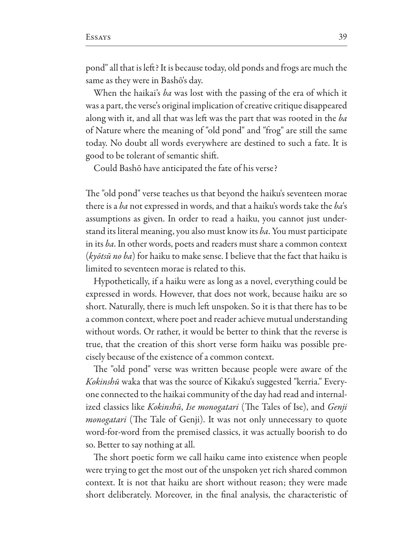pond" all that is left? It is because today, old ponds and frogs are much the same as they were in Bashō's day.

When the haikai's ba was lost with the passing of the era of which it was a part, the verse's original implication of creative critique disappeared along with it, and all that was left was the part that was rooted in the ba of Nature where the meaning of "old pond" and "frog" are still the same today. No doubt all words everywhere are destined to such a fate. It is good to be tolerant of semantic shift.

Could Bashō have anticipated the fate of his verse?

The "old pond" verse teaches us that beyond the haiku's seventeen morae there is a ba not expressed in words, and that a haiku's words take the ba's assumptions as given. In order to read a haiku, you cannot just understand its literal meaning, you also must know its ba. You must participate in its ba. In other words, poets and readers must share a common context (kyōtsū no ba) for haiku to make sense. I believe that the fact that haiku is limited to seventeen morae is related to this.

Hypothetically, if a haiku were as long as a novel, everything could be expressed in words. However, that does not work, because haiku are so short. Naturally, there is much left unspoken. So it is that there has to be a common context, where poet and reader achieve mutual understanding without words. Or rather, it would be better to think that the reverse is true, that the creation of this short verse form haiku was possible precisely because of the existence of a common context.

The "old pond" verse was written because people were aware of the Kokinshū waka that was the source of Kikaku's suggested "kerria." Everyone connected to the haikai community of the day had read and internalized classics like Kokinshū, Ise monogatari (The Tales of Ise), and Genji monogatari (The Tale of Genji). It was not only unnecessary to quote word-for-word from the premised classics, it was actually boorish to do so. Better to say nothing at all.

The short poetic form we call haiku came into existence when people were trying to get the most out of the unspoken yet rich shared common context. It is not that haiku are short without reason; they were made short deliberately. Moreover, in the final analysis, the characteristic of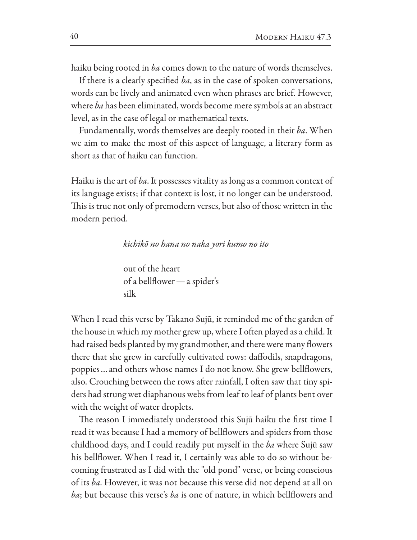haiku being rooted in *ba* comes down to the nature of words themselves.

If there is a clearly specified ba, as in the case of spoken conversations, words can be lively and animated even when phrases are brief. However, where ba has been eliminated, words become mere symbols at an abstract level, as in the case of legal or mathematical texts.

Fundamentally, words themselves are deeply rooted in their ba. When we aim to make the most of this aspect of language, a literary form as short as that of haiku can function.

Haiku is the art of ba. It possesses vitality as long as a common context of its language exists; if that context is lost, it no longer can be understood. This is true not only of premodern verses, but also of those written in the modern period.

## kichikō no hana no naka yori kumo no ito

out of the heart of a bellflower — a spider's silk

When I read this verse by Takano Sujū, it reminded me of the garden of the house in which my mother grew up, where I often played as a child. It had raised beds planted by my grandmother, and there were many flowers there that she grew in carefully cultivated rows: daffodils, snapdragons, poppies... and others whose names I do not know. She grew bellflowers, also. Crouching between the rows after rainfall, I often saw that tiny spiders had strung wet diaphanous webs from leaf to leaf of plants bent over with the weight of water droplets.

The reason I immediately understood this Sujū haiku the first time I read it was because I had a memory of bellflowers and spiders from those childhood days, and I could readily put myself in the ba where Sujū saw his bellflower. When I read it, I certainly was able to do so without becoming frustrated as I did with the "old pond" verse, or being conscious of its ba. However, it was not because this verse did not depend at all on *ba*; but because this verse's *ba* is one of nature, in which bellflowers and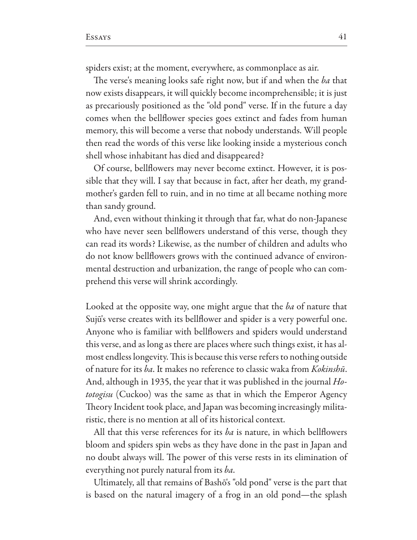spiders exist; at the moment, everywhere, as commonplace as air.

The verse's meaning looks safe right now, but if and when the ba that now exists disappears, it will quickly become incomprehensible; it is just as precariously positioned as the "old pond" verse. If in the future a day comes when the bellflower species goes extinct and fades from human memory, this will become a verse that nobody understands. Will people then read the words of this verse like looking inside a mysterious conch shell whose inhabitant has died and disappeared?

Of course, bellflowers may never become extinct. However, it is possible that they will. I say that because in fact, after her death, my grandmother's garden fell to ruin, and in no time at all became nothing more than sandy ground.

And, even without thinking it through that far, what do non-Japanese who have never seen bellflowers understand of this verse, though they can read its words? Likewise, as the number of children and adults who do not know bellflowers grows with the continued advance of environmental destruction and urbanization, the range of people who can comprehend this verse will shrink accordingly.

Looked at the opposite way, one might argue that the ba of nature that Sujū's verse creates with its bellflower and spider is a very powerful one. Anyone who is familiar with bellflowers and spiders would understand this verse, and as long as there are places where such things exist, it has almost endless longevity. This is because this verse refers to nothing outside of nature for its ba. It makes no reference to classic waka from *Kokinshū*. And, although in 1935, the year that it was published in the journal  $H_0$ *totogisu* (Cuckoo) was the same as that in which the Emperor Agency Theory Incident took place, and Japan was becoming increasingly militaristic, there is no mention at all of its historical context.

All that this verse references for its *ba* is nature, in which bellflowers bloom and spiders spin webs as they have done in the past in Japan and no doubt always will. The power of this verse rests in its elimination of everything not purely natural from its ba.

Ultimately, all that remains of Bashō's "old pond" verse is the part that is based on the natural imagery of a frog in an old pond—the splash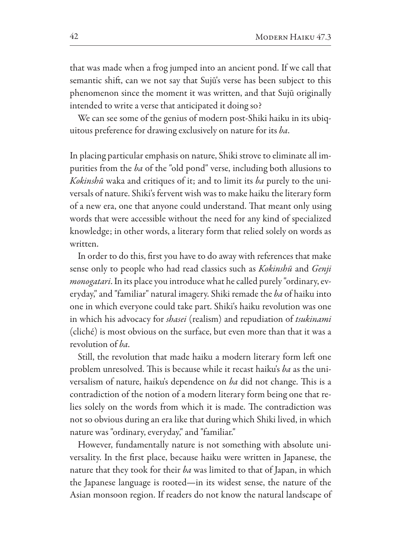that was made when a frog jumped into an ancient pond. If we call that semantic shift, can we not say that Sujū's verse has been subject to this phenomenon since the moment it was written, and that Sujū originally intended to write a verse that anticipated it doing so?

We can see some of the genius of modern post-Shiki haiku in its ubiquitous preference for drawing exclusively on nature for its ba.

In placing particular emphasis on nature, Shiki strove to eliminate all impurities from the ba of the "old pond" verse, including both allusions to Kokinshū waka and critiques of it; and to limit its ba purely to the universals of nature. Shiki's fervent wish was to make haiku the literary form of a new era, one that anyone could understand. That meant only using words that were accessible without the need for any kind of specialized knowledge; in other words, a literary form that relied solely on words as written.

In order to do this, first you have to do away with references that make sense only to people who had read classics such as *Kokinshū* and *Genji monogatari*. In its place you introduce what he called purely "ordinary, everyday," and "familiar" natural imagery. Shiki remade the ba of haiku into one in which everyone could take part. Shiki's haiku revolution was one in which his advocacy for *shasei* (realism) and repudiation of *tsukinami* (cliché) is most obvious on the surface, but even more than that it was a revolution of ba.

Still, the revolution that made haiku a modern literary form left one problem unresolved. This is because while it recast haiku's *ba* as the universalism of nature, haiku's dependence on ba did not change. This is a contradiction of the notion of a modern literary form being one that relies solely on the words from which it is made. The contradiction was not so obvious during an era like that during which Shiki lived, in which nature was "ordinary, everyday," and "familiar."

However, fundamentally nature is not something with absolute universality. In the first place, because haiku were written in Japanese, the nature that they took for their ba was limited to that of Japan, in which the Japanese language is rooted—in its widest sense, the nature of the Asian monsoon region. If readers do not know the natural landscape of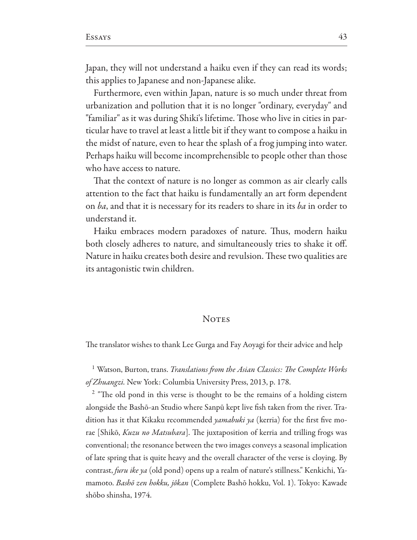Japan, they will not understand a haiku even if they can read its words; this applies to Japanese and non-Japanese alike.

Furthermore, even within Japan, nature is so much under threat from urbanization and pollution that it is no longer "ordinary, everyday" and "familiar" as it was during Shiki's lifetime. Those who live in cities in particular have to travel at least a little bit if they want to compose a haiku in the midst of nature, even to hear the splash of a frog jumping into water. Perhaps haiku will become incomprehensible to people other than those who have access to nature.

That the context of nature is no longer as common as air clearly calls attention to the fact that haiku is fundamentally an art form dependent on ba, and that it is necessary for its readers to share in its ba in order to understand it.

Haiku embraces modern paradoxes of nature. Thus, modern haiku both closely adheres to nature, and simultaneously tries to shake it off. Nature in haiku creates both desire and revulsion. These two qualities are its antagonistic twin children.

## **NOTES**

The translator wishes to thank Lee Gurga and Fay Aoyagi for their advice and help

<sup>1</sup> Watson, Burton, trans. *Translations from the Asian Classics: The Complete Works* of Zhuangzi. New York: Columbia University Press, 2013, p. 178.

<sup>2</sup> "The old pond in this verse is thought to be the remains of a holding cistern alongside the Bashō-an Studio where Sanpū kept live fish taken from the river. Tradition has it that Kikaku recommended yamabuki ya (kerria) for the first five morae [Shikō, *Kuzu no Matsubara*]. The juxtaposition of kerria and trilling frogs was conventional; the resonance between the two images conveys a seasonal implication of late spring that is quite heavy and the overall character of the verse is cloying. By contrast, furu ike ya (old pond) opens up a realm of nature's stillness." Kenkichi, Yamamoto. *Bashō zen hokku, jôkan* (Complete Bashō hokku, Vol. 1). Tokyo: Kawade shōbo shinsha, 1974.